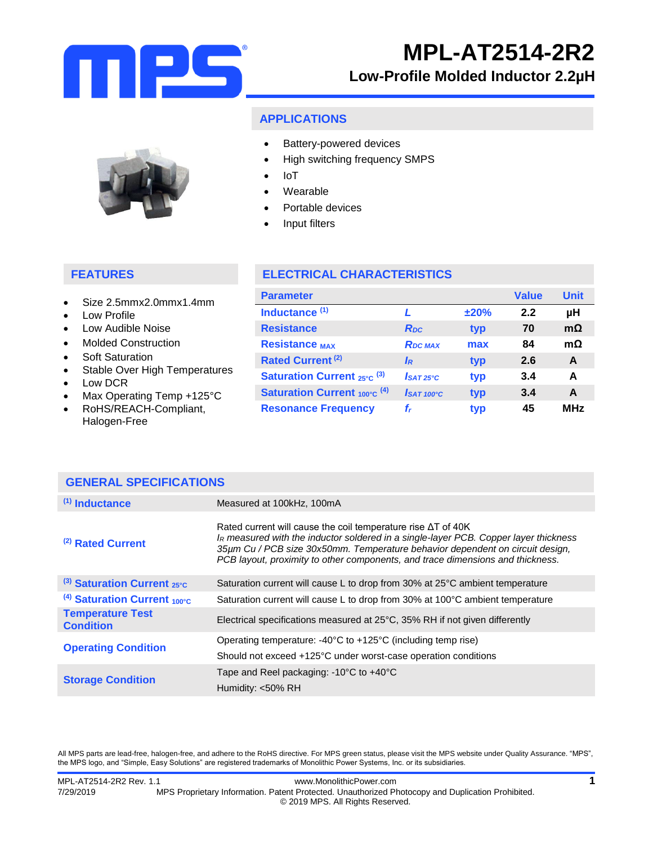

### **APPLICATIONS**

- Battery-powered devices
- High switching frequency SMPS
- IoT
- Wearable
- Portable devices
- Input filters

### **FEATURES**

- Size 2.5mmx2.0mmx1.4mm
- Low Profile
- Low Audible Noise
- Molded Construction
- Soft Saturation
- Stable Over High Temperatures
- Low DCR
- Max Operating Temp +125°C
- RoHS/REACH-Compliant, Halogen-Free

### **ELECTRICAL CHARACTERISTICS**

| <b>Parameter</b>                               |                         |      | <b>Value</b> | <b>Unit</b> |
|------------------------------------------------|-------------------------|------|--------------|-------------|
| Inductance <sup>(1)</sup>                      |                         | ±20% | 2.2          | μH          |
| <b>Resistance</b>                              | <b>R</b> <sub>pc</sub>  | typ  | 70           | $m\Omega$   |
| <b>Resistance MAX</b>                          | <b>RDC MAX</b>          | max  | 84           | $m\Omega$   |
| <b>Rated Current (2)</b>                       | IR                      | typ  | 2.6          | A           |
| <b>Saturation Current</b> $_{25^{\circ}C}$ (3) | $I$ SAT <sub>25°C</sub> | typ  | 3.4          | A           |
| <b>Saturation Current 100°C (4)</b>            | $\mathbf{I}$ SAT 100°C  | typ  | 3.4          | A           |
| <b>Resonance Frequency</b>                     | f,                      | typ  | 45           | <b>MHz</b>  |

| <b>GENERAL SPECIFICATIONS</b>               |                                                                                                                                                                                                                                                                                                                                 |  |
|---------------------------------------------|---------------------------------------------------------------------------------------------------------------------------------------------------------------------------------------------------------------------------------------------------------------------------------------------------------------------------------|--|
| $(1)$ Inductance                            | Measured at 100kHz, 100mA                                                                                                                                                                                                                                                                                                       |  |
| $(2)$ Rated Current                         | Rated current will cause the coil temperature rise $\Delta T$ of 40K<br>IR measured with the inductor soldered in a single-layer PCB. Copper layer thickness<br>35µm Cu / PCB size 30x50mm. Temperature behavior dependent on circuit design,<br>PCB layout, proximity to other components, and trace dimensions and thickness. |  |
| (3) Saturation Current $_{25^{\circ}C}$     | Saturation current will cause L to drop from 30% at 25°C ambient temperature                                                                                                                                                                                                                                                    |  |
| $(4)$ Saturation Current 100°C              | Saturation current will cause L to drop from 30% at 100°C ambient temperature                                                                                                                                                                                                                                                   |  |
| <b>Temperature Test</b><br><b>Condition</b> | Electrical specifications measured at 25°C, 35% RH if not given differently                                                                                                                                                                                                                                                     |  |
| <b>Operating Condition</b>                  | Operating temperature: $-40^{\circ}$ C to $+125^{\circ}$ C (including temp rise)                                                                                                                                                                                                                                                |  |
|                                             | Should not exceed +125°C under worst-case operation conditions                                                                                                                                                                                                                                                                  |  |
| <b>Storage Condition</b>                    | Tape and Reel packaging: $-10^{\circ}$ C to $+40^{\circ}$ C                                                                                                                                                                                                                                                                     |  |
|                                             | Humidity: <50% RH                                                                                                                                                                                                                                                                                                               |  |

All MPS parts are lead-free, halogen-free, and adhere to the RoHS directive. For MPS green status, please visit the MPS website under Quality Assurance. "MPS", the MPS logo, and "Simple, Easy Solutions" are registered trademarks of Monolithic Power Systems, Inc. or its subsidiaries.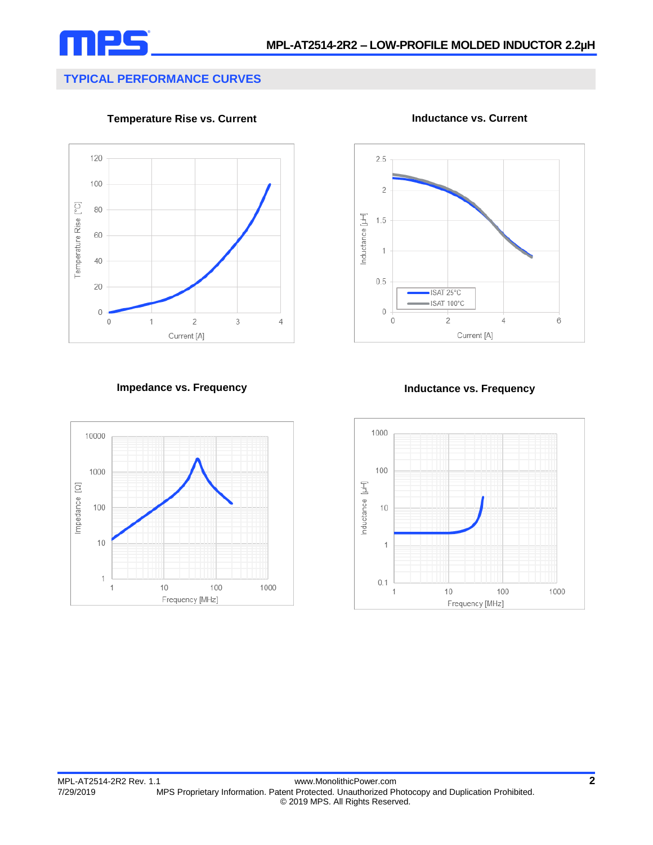

 $2.5$ 

 $\overline{2}$ 

 $1.5$ 

 $\overline{1}$ 

 $0.5$ 

 $\,0\,$ 

 $\overline{0}$ 

Inductance [µH]

# **TYPICAL PERFORMANCE CURVES**

**Temperature Rise vs. Current**



**Impedance vs. Frequency Inductance vs. Frequency**



Current [A]

 $\overline{4}$ 

 $\overline{6}$ 

ISAT 25°C ISAT 100°C

 $\overline{2}$ 



**Inductance vs. Current**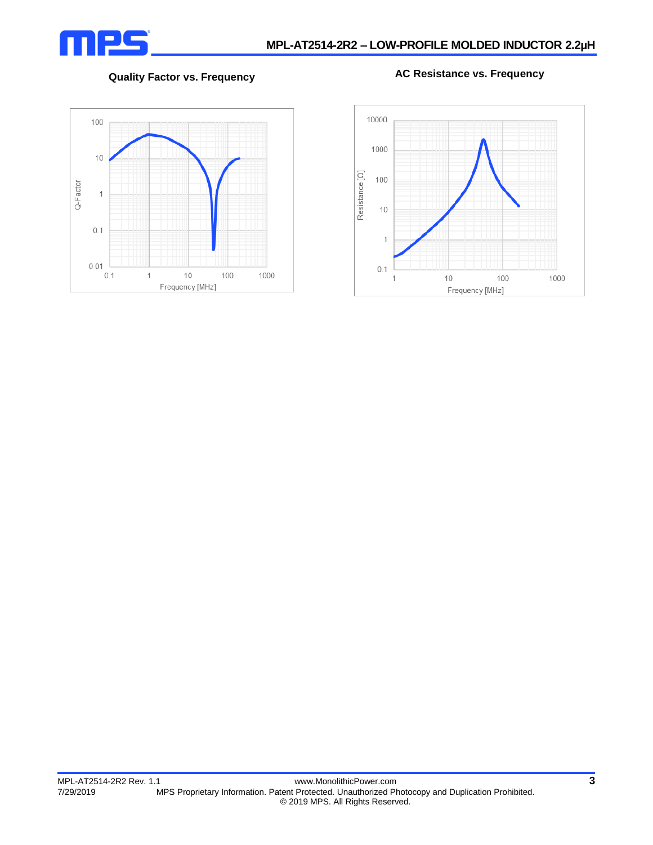

**Quality Factor vs. Frequency AC Resistance vs. Frequency**



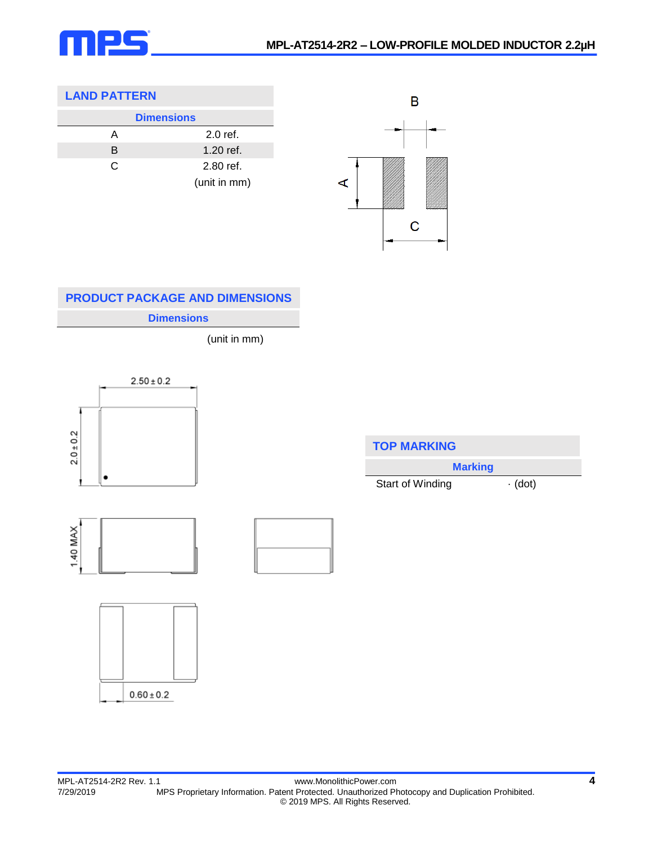

### **LAND PATTERN**

| <b>Dimensions</b> |              |  |  |
|-------------------|--------------|--|--|
| А                 | $2.0$ ref.   |  |  |
| B                 | 1.20 ref.    |  |  |
| C                 | 2.80 ref.    |  |  |
|                   | (unit in mm) |  |  |



## **Dimensions PRODUCT PACKAGE AND DIMENSIONS**

(unit in mm)